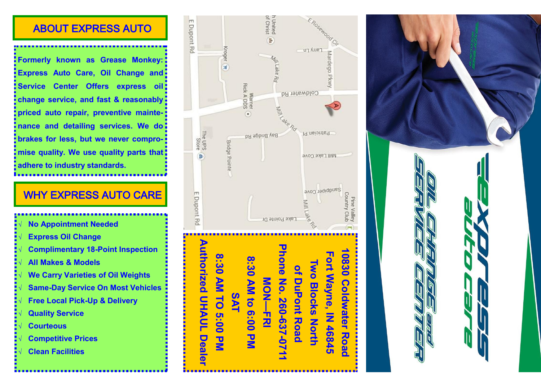#### ABOUT EXPRESS AUTO

**Formerly known as Grease Monkey: Express Auto Care, Oil Change and Service Center Offers express oil: change service, and fast & reasonably priced auto repair, preventive maintenance and detailing services. We do brakes for less, but we never compromise quality. We use quality parts that adhere to industry standards.** 

## WHY EXPRESS AUTO CARE

- **No Appointment Needed Express Oil Change Complimentary 18-Point Inspection All Makes & Models**
- **We Carry Varieties of Oil Weights**
- **Same-Day Service On Most Vehicles**
- **Free Local Pick-Up & Delivery**
- **Quality Service**
- **Courteous**
- **Competitive Prices**
- **Clean Facilities**



**NON-FRI** 

**8:30 AM to 6:00 PM**

8:30 AM to 6:00 PM

**SAT**

**8:30 AM TO 5:00 PM**

 $\overline{\mathbf{z}}$ 

**Deale** 

8:30 AIM TO 5:00

**10830 Coldwater Road Fort Wayne, IN 46845 Two Blocks North of DuPont Road Phone No. 260-637-0711 MON**